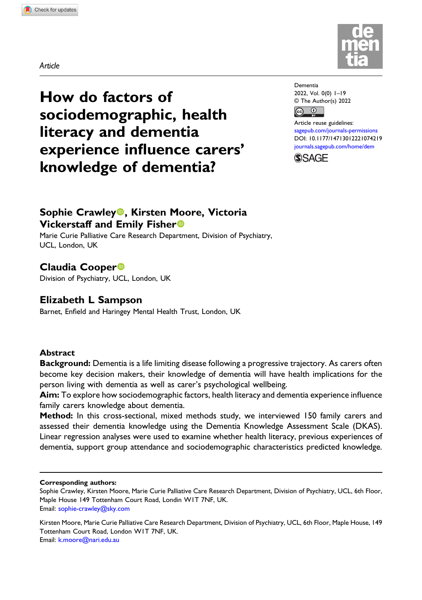



How do factors of sociodemographic, health literacy and dementia experience influence carers' knowledge of dementia?

Dementia 2022, Vol. 0(0) 1–19 © The Author(s) 2022  $\bigcirc$  $\left[\mathrm{G}\right]$ 

Article reuse guidelines: [sagepub.com/journals-permissions](https://uk.sagepub.com/en-gb/journals-permissions) DOI: [10.1177/14713012221074219](https://doi.org/10.1177/14713012221074219) [journals.sagepub.com/home/dem](https://journals.sagepub.com/home/dem)



# Sophie Crawley<sup>®</sup>, Kirsten Moore, Victoria Vickerstaff and Emily Fisher

Marie Curie Palliative Care Research Department, Division of Psychiatry, UCL, London, UK

# Claudia Cooper

Division of Psychiatry, UCL, London, UK

## Elizabeth L Sampson

Barnet, Enfield and Haringey Mental Health Trust, London, UK

## Abstract

Background: Dementia is a life limiting disease following a progressive trajectory. As carers often become key decision makers, their knowledge of dementia will have health implications for the person living with dementia as well as carer's psychological wellbeing.

Aim: To explore how sociodemographic factors, health literacy and dementia experience influence family carers knowledge about dementia.

Method: In this cross-sectional, mixed methods study, we interviewed 150 family carers and assessed their dementia knowledge using the Dementia Knowledge Assessment Scale (DKAS). Linear regression analyses were used to examine whether health literacy, previous experiences of dementia, support group attendance and sociodemographic characteristics predicted knowledge.

#### Corresponding authors:

Sophie Crawley, Kirsten Moore, Marie Curie Palliative Care Research Department, Division of Psychiatry, UCL, 6th Floor, Maple House 149 Tottenham Court Road, Londin W1T 7NF, UK. Email: [sophie-crawley@sky.com](mailto:sophie-crawley@sky.com)

Kirsten Moore, Marie Curie Palliative Care Research Department, Division of Psychiatry, UCL, 6th Floor, Maple House, 149 Tottenham Court Road, London W1T 7NF, UK. Email: [k.moore@nari.edu.au](mailto:k.moore@nari.edu.au)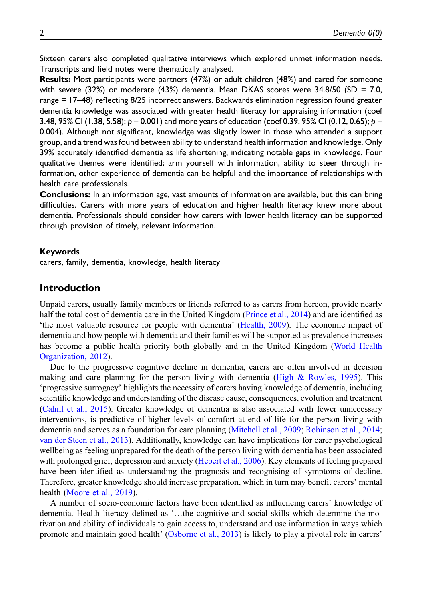Sixteen carers also completed qualitative interviews which explored unmet information needs. Transcripts and field notes were thematically analysed.

Results: Most participants were partners (47%) or adult children (48%) and cared for someone with severe (32%) or moderate (43%) dementia. Mean DKAS scores were 34.8/50 (SD = 7.0, range = 17–48) reflecting 8/25 incorrect answers. Backwards elimination regression found greater dementia knowledge was associated with greater health literacy for appraising information (coef 3.48, 95% CI (1.38, 5.58);  $p = 0.001$  and more years of education (coef 0.39, 95% CI (0.12, 0.65);  $p =$ 0.004). Although not significant, knowledge was slightly lower in those who attended a support group, and a trend was found between ability to understand health information and knowledge. Only 39% accurately identified dementia as life shortening, indicating notable gaps in knowledge. Four qualitative themes were identified; arm yourself with information, ability to steer through information, other experience of dementia can be helpful and the importance of relationships with health care professionals.

Conclusions: In an information age, vast amounts of information are available, but this can bring difficulties. Carers with more years of education and higher health literacy knew more about dementia. Professionals should consider how carers with lower health literacy can be supported through provision of timely, relevant information.

#### Keywords

carers, family, dementia, knowledge, health literacy

### Introduction

Unpaid carers, usually family members or friends referred to as carers from hereon, provide nearly half the total cost of dementia care in the United Kingdom ([Prince et al., 2014\)](#page-17-0) and are identified as 'the most valuable resource for people with dementia' ([Health, 2009](#page-16-0)). The economic impact of dementia and how people with dementia and their families will be supported as prevalence increases has become a public health priority both globally and in the United Kingdom [\(World Health](#page-17-1) [Organization, 2012\)](#page-17-1).

Due to the progressive cognitive decline in dementia, carers are often involved in decision making and care planning for the person living with dementia (High  $\&$  Rowles, 1995). This 'progressive surrogacy' highlights the necessity of carers having knowledge of dementia, including scientific knowledge and understanding of the disease cause, consequences, evolution and treatment ([Cahill et al., 2015](#page-16-2)). Greater knowledge of dementia is also associated with fewer unnecessary interventions, is predictive of higher levels of comfort at end of life for the person living with dementia and serves as a foundation for care planning [\(Mitchell et al., 2009;](#page-16-3) [Robinson et al., 2014;](#page-17-2) [van der Steen et al., 2013\)](#page-17-3). Additionally, knowledge can have implications for carer psychological wellbeing as feeling unprepared for the death of the person living with dementia has been associated with prolonged grief, depression and anxiety [\(Hebert et al., 2006](#page-16-4)). Key elements of feeling prepared have been identified as understanding the prognosis and recognising of symptoms of decline. Therefore, greater knowledge should increase preparation, which in turn may benefit carers' mental health [\(Moore et al., 2019](#page-16-5)).

A number of socio-economic factors have been identified as influencing carers' knowledge of dementia. Health literacy defined as '…the cognitive and social skills which determine the motivation and ability of individuals to gain access to, understand and use information in ways which promote and maintain good health' ([Osborne et al., 2013\)](#page-17-4) is likely to play a pivotal role in carers'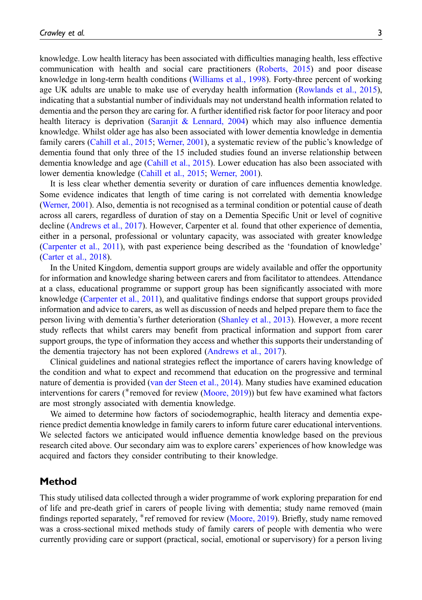knowledge. Low health literacy has been associated with difficulties managing health, less effective communication with health and social care practitioners ([Roberts, 2015\)](#page-17-5) and poor disease knowledge in long-term health conditions ([Williams et al., 1998\)](#page-17-6). Forty-three percent of working age UK adults are unable to make use of everyday health information ([Rowlands et al., 2015\)](#page-17-7), indicating that a substantial number of individuals may not understand health information related to dementia and the person they are caring for. A further identified risk factor for poor literacy and poor health literacy is deprivation [\(Saranjit & Lennard, 2004](#page-17-8)) which may also influence dementia knowledge. Whilst older age has also been associated with lower dementia knowledge in dementia family carers ([Cahill et al., 2015](#page-16-2); [Werner, 2001](#page-17-9)), a systematic review of the public's knowledge of dementia found that only three of the 15 included studies found an inverse relationship between dementia knowledge and age [\(Cahill et al., 2015](#page-16-2)). Lower education has also been associated with lower dementia knowledge ([Cahill et al., 2015;](#page-16-2) [Werner, 2001](#page-17-9)).

It is less clear whether dementia severity or duration of care influences dementia knowledge. Some evidence indicates that length of time caring is not correlated with dementia knowledge ([Werner, 2001\)](#page-17-9). Also, dementia is not recognised as a terminal condition or potential cause of death across all carers, regardless of duration of stay on a Dementia Specific Unit or level of cognitive decline ([Andrews et al., 2017](#page-16-6)). However, Carpenter et al. found that other experience of dementia, either in a personal, professional or voluntary capacity, was associated with greater knowledge ([Carpenter et al., 2011](#page-16-7)), with past experience being described as the 'foundation of knowledge' ([Carter et al., 2018](#page-16-8)).

In the United Kingdom, dementia support groups are widely available and offer the opportunity for information and knowledge sharing between carers and from facilitator to attendees. Attendance at a class, educational programme or support group has been significantly associated with more knowledge [\(Carpenter et al., 2011\)](#page-16-7), and qualitative findings endorse that support groups provided information and advice to carers, as well as discussion of needs and helped prepare them to face the person living with dementia's further deterioration ([Shanley et al., 2013](#page-17-10)). However, a more recent study reflects that whilst carers may benefit from practical information and support from carer support groups, the type of information they access and whether this supports their understanding of the dementia trajectory has not been explored ([Andrews et al., 2017\)](#page-16-6).

Clinical guidelines and national strategies reflect the importance of carers having knowledge of the condition and what to expect and recommend that education on the progressive and terminal nature of dementia is provided ([van der Steen et al., 2014](#page-17-11)). Many studies have examined education interventions for carers ( $*$ removed for review [\(Moore, 2019\)](#page-16-5)) but few have examined what factors are most strongly associated with dementia knowledge.

We aimed to determine how factors of sociodemographic, health literacy and dementia experience predict dementia knowledge in family carers to inform future carer educational interventions. We selected factors we anticipated would influence dementia knowledge based on the previous research cited above. Our secondary aim was to explore carers' experiences of how knowledge was acquired and factors they consider contributing to their knowledge.

### Method

This study utilised data collected through a wider programme of work exploring preparation for end of life and pre-death grief in carers of people living with dementia; study name removed (main findings reported separately, \*ref removed for review [\(Moore, 2019\)](#page-16-5). Briefly, study name removed was a cross-sectional mixed methods study of family carers of people with dementia who were currently providing care or support (practical, social, emotional or supervisory) for a person living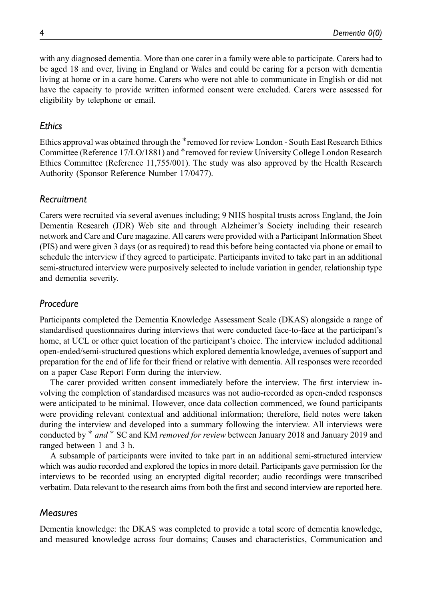with any diagnosed dementia. More than one carer in a family were able to participate. Carers had to be aged 18 and over, living in England or Wales and could be caring for a person with dementia living at home or in a care home. Carers who were not able to communicate in English or did not have the capacity to provide written informed consent were excluded. Carers were assessed for eligibility by telephone or email.

### **Ethics**

Ethics approval was obtained through the \*removed for review London - South East Research Ethics Committee (Reference 17/LO/1881) and \*removed for review University College London Research Ethics Committee (Reference 11,755/001). The study was also approved by the Health Research Authority (Sponsor Reference Number 17/0477).

### Recruitment

Carers were recruited via several avenues including; 9 NHS hospital trusts across England, the Join Dementia Research (JDR) Web site and through Alzheimer's Society including their research network and Care and Cure magazine. All carers were provided with a Participant Information Sheet (PIS) and were given 3 days (or as required) to read this before being contacted via phone or email to schedule the interview if they agreed to participate. Participants invited to take part in an additional semi-structured interview were purposively selected to include variation in gender, relationship type and dementia severity.

### Procedure

Participants completed the Dementia Knowledge Assessment Scale (DKAS) alongside a range of standardised questionnaires during interviews that were conducted face-to-face at the participant's home, at UCL or other quiet location of the participant's choice. The interview included additional open-ended/semi-structured questions which explored dementia knowledge, avenues of support and preparation for the end of life for their friend or relative with dementia. All responses were recorded on a paper Case Report Form during the interview.

The carer provided written consent immediately before the interview. The first interview involving the completion of standardised measures was not audio-recorded as open-ended responses were anticipated to be minimal. However, once data collection commenced, we found participants were providing relevant contextual and additional information; therefore, field notes were taken during the interview and developed into a summary following the interview. All interviews were conducted by  $*$  and  $*$  SC and KM removed for review between January 2018 and January 2019 and ranged between 1 and 3 h.

A subsample of participants were invited to take part in an additional semi-structured interview which was audio recorded and explored the topics in more detail. Participants gave permission for the interviews to be recorded using an encrypted digital recorder; audio recordings were transcribed verbatim. Data relevant to the research aims from both the first and second interview are reported here.

### **Measures**

Dementia knowledge: the DKAS was completed to provide a total score of dementia knowledge, and measured knowledge across four domains; Causes and characteristics, Communication and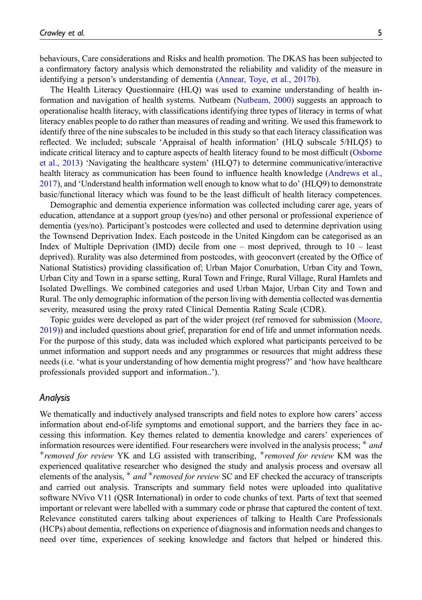behaviours, Care considerations and Risks and health promotion. The DKAS has been subjected to a confirmatory factory analysis which demonstrated the reliability and validity of the measure in identifying a person's understanding of dementia ([Annear, Toye, et al., 2017b\)](#page-16-9).

The Health Literacy Questionnaire (HLQ) was used to examine understanding of health information and navigation of health systems. Nutbeam [\(Nutbeam, 2000\)](#page-16-10) suggests an approach to operationalise health literacy, with classifications identifying three types of literacy in terms of what literacy enables people to do rather than measures of reading and writing. We used this framework to identify three of the nine subscales to be included in this study so that each literacy classification was reflected. We included; subscale 'Appraisal of health information' (HLQ subscale 5/HLQ5) to indicate critical literacy and to capture aspects of health literacy found to be most difficult ([Osborne](#page-17-4) [et al., 2013](#page-17-4)) 'Navigating the healthcare system' (HLQ7) to determine communicative/interactive health literacy as communication has been found to influence health knowledge ([Andrews et al.,](#page-16-6) [2017](#page-16-6)), and 'Understand health information well enough to know what to do' (HLQ9) to demonstrate basic/functional literacy which was found to be the least difficult of health literacy competences.

Demographic and dementia experience information was collected including carer age, years of education, attendance at a support group (yes/no) and other personal or professional experience of dementia (yes/no). Participant's postcodes were collected and used to determine deprivation using the Townsend Deprivation Index. Each postcode in the United Kingdom can be categorised as an Index of Multiple Deprivation (IMD) decile from one – most deprived, through to 10 – least deprived). Rurality was also determined from postcodes, with geoconvert (created by the Office of National Statistics) providing classification of; Urban Major Conurbation, Urban City and Town, Urban City and Town in a sparse setting, Rural Town and Fringe, Rural Village, Rural Hamlets and Isolated Dwellings. We combined categories and used Urban Major, Urban City and Town and Rural. The only demographic information of the person living with dementia collected was dementia severity, measured using the proxy rated Clinical Dementia Rating Scale (CDR).

Topic guides were developed as part of the wider project (ref removed for submission ([Moore,](#page-16-5) [2019](#page-16-5))) and included questions about grief, preparation for end of life and unmet information needs. For the purpose of this study, data was included which explored what participants perceived to be unmet information and support needs and any programmes or resources that might address these needs (i.e. 'what is your understanding of how dementia might progress?' and 'how have healthcare professionals provided support and information..').

#### Analysis

We thematically and inductively analysed transcripts and field notes to explore how carers' access information about end-of-life symptoms and emotional support, and the barriers they face in accessing this information. Key themes related to dementia knowledge and carers' experiences of information resources were identified. Four researchers were involved in the analysis process;  $*$  and  $*$  removed for review YK and LG assisted with transcribing,  $*$  removed for review KM was the experienced qualitative researcher who designed the study and analysis process and oversaw all elements of the analysis,  $*$  and  $*$  removed for review SC and EF checked the accuracy of transcripts and carried out analysis. Transcripts and summary field notes were uploaded into qualitative software NVivo V11 (QSR International) in order to code chunks of text. Parts of text that seemed important or relevant were labelled with a summary code or phrase that captured the content of text. Relevance constituted carers talking about experiences of talking to Health Care Professionals (HCPs) about dementia, reflections on experience of diagnosis and information needs and changes to need over time, experiences of seeking knowledge and factors that helped or hindered this.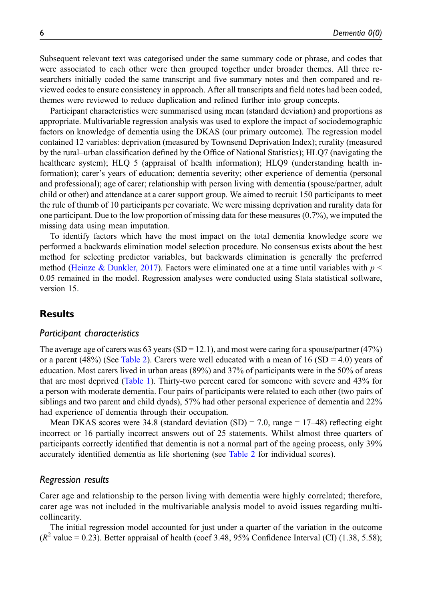Subsequent relevant text was categorised under the same summary code or phrase, and codes that were associated to each other were then grouped together under broader themes. All three researchers initially coded the same transcript and five summary notes and then compared and reviewed codes to ensure consistency in approach. After all transcripts and field notes had been coded, themes were reviewed to reduce duplication and refined further into group concepts.

Participant characteristics were summarised using mean (standard deviation) and proportions as appropriate. Multivariable regression analysis was used to explore the impact of sociodemographic factors on knowledge of dementia using the DKAS (our primary outcome). The regression model contained 12 variables: deprivation (measured by Townsend Deprivation Index); rurality (measured by the rural–urban classification defined by the Office of National Statistics); HLQ7 (navigating the healthcare system); HLQ 5 (appraisal of health information); HLQ9 (understanding health information); carer's years of education; dementia severity; other experience of dementia (personal and professional); age of carer; relationship with person living with dementia (spouse/partner, adult child or other) and attendance at a carer support group. We aimed to recruit 150 participants to meet the rule of thumb of 10 participants per covariate. We were missing deprivation and rurality data for one participant. Due to the low proportion of missing data for these measures (0.7%), we imputed the missing data using mean imputation.

To identify factors which have the most impact on the total dementia knowledge score we performed a backwards elimination model selection procedure. No consensus exists about the best method for selecting predictor variables, but backwards elimination is generally the preferred method [\(Heinze & Dunkler, 2017](#page-16-11)). Factors were eliminated one at a time until variables with  $p \leq$ 0.05 remained in the model. Regression analyses were conducted using Stata statistical software, version 15.

## **Results**

#### Participant characteristics

The average age of carers was 63 years (SD = 12.1), and most were caring for a spouse/partner (47%) or a parent (48%) (See [Table 2\)](#page-8-0). Carers were well educated with a mean of 16 (SD = 4.0) years of education. Most carers lived in urban areas (89%) and 37% of participants were in the 50% of areas that are most deprived [\(Table 1](#page-6-0)). Thirty-two percent cared for someone with severe and 43% for a person with moderate dementia. Four pairs of participants were related to each other (two pairs of siblings and two parent and child dyads), 57% had other personal experience of dementia and 22% had experience of dementia through their occupation.

Mean DKAS scores were 34.8 (standard deviation  $(SD) = 7.0$ , range = 17–48) reflecting eight incorrect or 16 partially incorrect answers out of 25 statements. Whilst almost three quarters of participants correctly identified that dementia is not a normal part of the ageing process, only 39% accurately identified dementia as life shortening (see [Table 2](#page-8-0) for individual scores).

#### Regression results

Carer age and relationship to the person living with dementia were highly correlated; therefore, carer age was not included in the multivariable analysis model to avoid issues regarding multicollinearity.

The initial regression model accounted for just under a quarter of the variation in the outcome  $(R^2 \text{ value} = 0.23)$ . Better appraisal of health (coef 3.48, 95% Confidence Interval (CI) (1.38, 5.58);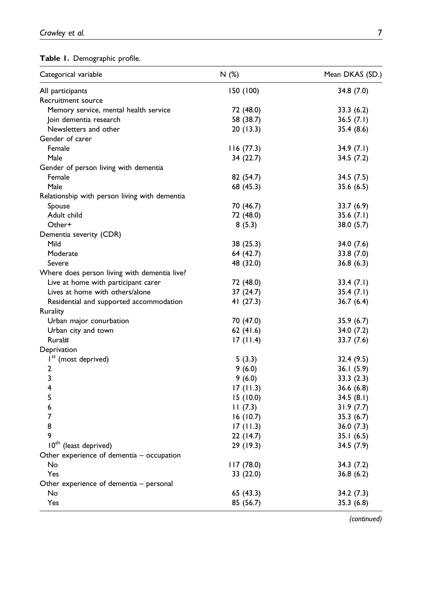# <span id="page-6-0"></span>Table 1. Demographic profile.

| Categorical variable                          | N(%)       | Mean DKAS (SD.) |  |
|-----------------------------------------------|------------|-----------------|--|
| All participants                              | 150 (100)  | 34.8 (7.0)      |  |
| Recruitment source                            |            |                 |  |
| Memory service, mental health service         | 72 (48.0)  | 33.3(6.2)       |  |
| Join dementia research                        | 58 (38.7)  | 36.5(7.1)       |  |
| Newsletters and other                         | 20 (13.3)  | 35.4 (8.6)      |  |
| Gender of carer                               |            |                 |  |
| Female                                        | 116(77.3)  | 34.9(7.1)       |  |
| Male                                          | 34 (22.7)  | 34.5 (7.2)      |  |
| Gender of person living with dementia         |            |                 |  |
| Female                                        | 82 (54.7)  | 34.5 (7.5)      |  |
| Male                                          | 68 (45.3)  | 35.6 (6.5)      |  |
| Relationship with person living with dementia |            |                 |  |
| Spouse                                        | 70 (46.7)  | 33.7 (6.9)      |  |
| Adult child                                   | 72 (48.0)  | 35.6(7.1)       |  |
| Other+                                        | 8(5.3)     | 38.0 (5.7)      |  |
| Dementia severity (CDR)                       |            |                 |  |
| Mild                                          | 38 (25.3)  | 34.0 (7.6)      |  |
| Moderate                                      | 64 (42.7)  | 33.8 (7.0)      |  |
| Severe                                        | 48 (32.0)  | 36.8(6.3)       |  |
| Where does person living with dementia live?  |            |                 |  |
| Live at home with participant carer           | 72 (48.0)  | 33.4 (7.1)      |  |
| Lives at home with others/alone               | 37 (24.7)  | 35.4(7.1)       |  |
| Residential and supported accommodation       | 41 (27.3)  | 36.7(6.4)       |  |
| Rurality                                      |            |                 |  |
| Urban major conurbation                       | 70 (47.0)  | 35.9 (6.7)      |  |
| Urban city and town                           | 62 (41.6)  | 34.0 (7.2)      |  |
| Rural#                                        | 17(11.4)   | 33.7 (7.6)      |  |
| Deprivation                                   |            |                 |  |
| I <sup>st</sup> (most deprived)               | 5(3.3)     | 32.4 (9.5)      |  |
| 2                                             | 9(6.0)     | 36.1(5.9)       |  |
| 3                                             | 9(6.0)     | 33.3(2.3)       |  |
| 4                                             | 17(11.3)   | 36.6(6.8)       |  |
| 5                                             | 15(10.0)   | 34.5(8.1)       |  |
| 6                                             | 11(7.3)    | 31.9(7.7)       |  |
| 7                                             | 16(10.7)   | 35.3(6.7)       |  |
| 8                                             | 17(11.3)   | 36.0 (7.3)      |  |
| 9                                             | 22 (14.7)  | 35.1(6.5)       |  |
| 10 <sup>th</sup> (least deprived)             | 29 (19.3)  | 34.5 (7.9)      |  |
| Other experience of dementia $-$ occupation   |            |                 |  |
| No                                            | 117 (78.0) | 34.3 (7.2)      |  |
| Yes                                           | 33 (22.0)  | 36.8(6.2)       |  |
| Other experience of dementia – personal       |            |                 |  |
| No                                            | 65 (43.3)  | 34.2 (7.3)      |  |
| Yes                                           | 85 (56.7)  | 35.3 (6.8)      |  |

(continued)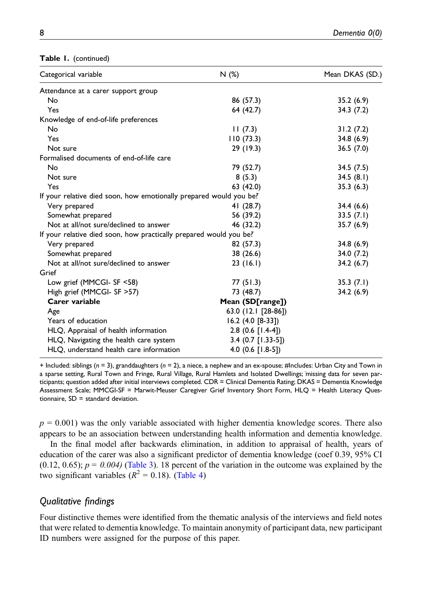| Categorical variable                                               | N (%)                | Mean DKAS (SD.) |
|--------------------------------------------------------------------|----------------------|-----------------|
| Attendance at a carer support group                                |                      |                 |
| No                                                                 | 86 (57.3)            | 35.2(6.9)       |
| Yes                                                                | 64 (42.7)            | 34.3(7.2)       |
| Knowledge of end-of-life preferences                               |                      |                 |
| No                                                                 | 11(7.3)              | 31.2(7.2)       |
| Yes                                                                | 110(73.3)            | 34.8(6.9)       |
| Not sure                                                           | 29 (19.3)            | 36.5 (7.0)      |
| Formalised documents of end-of-life care                           |                      |                 |
| No                                                                 | 79 (52.7)            | 34.5(7.5)       |
| Not sure                                                           | 8(5.3)               | 34.5(8.1)       |
| Yes                                                                | 63 (42.0)            | 35.3(6.3)       |
| If your relative died soon, how emotionally prepared would you be? |                      |                 |
| Very prepared                                                      | 41 (28.7)            | 34.4 (6.6)      |
| Somewhat prepared                                                  | 56 (39.2)            | 33.5(7.1)       |
| Not at all/not sure/declined to answer                             | 46 (32.2)            | 35.7(6.9)       |
| If your relative died soon, how practically prepared would you be? |                      |                 |
| Very prepared                                                      | 82 (57.3)            | 34.8(6.9)       |
| Somewhat prepared                                                  | 38 (26.6)            | 34.0 (7.2)      |
| Not at all/not sure/declined to answer                             | 23(16.1)             | 34.2(6.7)       |
| Grief                                                              |                      |                 |
| Low grief (MMCGI- SF <58)                                          | 77 (51.3)            | 35.3(7.1)       |
| High grief (MMCGI- SF > 57)                                        | 73 (48.7)            | 34.2(6.9)       |
| Carer variable                                                     | Mean (SD[range])     |                 |
| Age                                                                | 63.0 (12.1 [28-86])  |                 |
| Years of education                                                 | $16.2$ (4.0 [8-33])  |                 |
| HLQ, Appraisal of health information                               | $2.8$ (0.6 [1.4-4])  |                 |
| HLQ, Navigating the health care system                             | $3.4$ (0.7 [1.33-5]) |                 |
| HLQ, understand health care information                            | 4.0 $(0.6$ [1.8-5])  |                 |

+ Included: siblings ( $n = 3$ ), granddaughters ( $n = 2$ ), a niece, a nephew and an ex-spouse; #Includes: Urban City and Town in a sparse setting, Rural Town and Fringe, Rural Village, Rural Hamlets and Isolated Dwellings; îmissing data for seven participants; question added after initial interviews completed. CDR = Clinical Dementia Rating; DKAS = Dementia Knowledge Assessment Scale; MMCGI-SF = Marwit-Meuser Caregiver Grief Inventory Short Form, HLQ = Health Literacy Questionnaire,  $SD =$  standard deviation.

 $p = 0.001$ ) was the only variable associated with higher dementia knowledge scores. There also appears to be an association between understanding health information and dementia knowledge.

In the final model after backwards elimination, in addition to appraisal of health, years of education of the carer was also a significant predictor of dementia knowledge (coef 0.39, 95% CI  $(0.12, 0.65)$ ;  $p = 0.004$ ) ([Table 3](#page-9-0)). 18 percent of the variation in the outcome was explained by the two significant variables  $(R^2 = 0.18)$ . ([Table 4](#page-10-0))

### Qualitative findings

Four distinctive themes were identified from the thematic analysis of the interviews and field notes that were related to dementia knowledge. To maintain anonymity of participant data, new participant ID numbers were assigned for the purpose of this paper.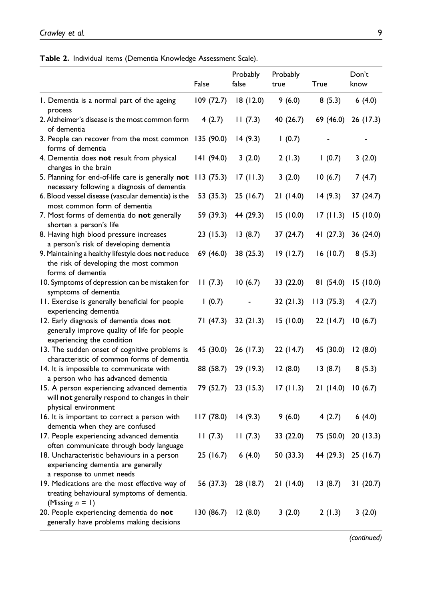<span id="page-8-0"></span>Table 2. Individual items (Dementia Knowledge Assessment Scale).

|                                                                        | False                | Probably<br>false   | Probably<br>true | True      | Don't<br>know       |
|------------------------------------------------------------------------|----------------------|---------------------|------------------|-----------|---------------------|
| I. Dementia is a normal part of the ageing                             | 109 (72.7)           | 18 (12.0)           | 9(6.0)           | 8(5.3)    | 6(4.0)              |
| process                                                                |                      |                     |                  |           |                     |
| 2. Alzheimer's disease is the most common form                         | 4(2.7)               | 11(7.3)             | 40 (26.7)        | 69 (46.0) | 26 (17.3)           |
| of dementia<br>3. People can recover from the most common 135 (90.0)   |                      | 14(9.3)             | 1(0.7)           |           |                     |
| forms of dementia                                                      |                      |                     |                  |           |                     |
| 4. Dementia does not result from physical                              | 141 (94.0)           | 3(2.0)              | 2(1.3)           | 1(0.7)    | 3(2.0)              |
| changes in the brain                                                   |                      |                     |                  |           |                     |
| 5. Planning for end-of-life care is generally not 113 (75.3)           |                      | 17(11.3)            | 3(2.0)           | 10(6.7)   | 7(4.7)              |
| necessary following a diagnosis of dementia                            |                      |                     |                  |           |                     |
| 6. Blood vessel disease (vascular dementia) is the                     | 53 (35.3)            | 25(16.7)            | 21(14.0)         | 14(9.3)   | 37(24.7)            |
| most common form of dementia                                           |                      |                     |                  |           |                     |
| 7. Most forms of dementia do not generally                             | 59 (39.3)            | 44 (29.3)           | 15 (10.0)        | 17(11.3)  | 15(10.0)            |
| shorten a person's life                                                |                      |                     |                  |           |                     |
| 8. Having high blood pressure increases                                | 23(15.3)             | 13(8.7)             | 37 (24.7)        | 41(27.3)  | 36 (24.0)           |
| a person's risk of developing dementia                                 |                      |                     |                  |           |                     |
| 9. Maintaining a healthy lifestyle does not reduce                     | 69 (46.0)            | 38 (25.3)           | 19(12.7)         | 16(10.7)  | 8(5.3)              |
| the risk of developing the most common                                 |                      |                     |                  |           |                     |
| forms of dementia                                                      |                      |                     |                  |           |                     |
| 10. Symptoms of depression can be mistaken for<br>symptoms of dementia | 11(7.3)              | 10(6.7)             | 33 (22.0)        | 81 (54.0) | 15(10.0)            |
| 11. Exercise is generally beneficial for people                        | 1(0.7)               |                     | 32(21.3)         | 113(75.3) | 4(2.7)              |
| experiencing dementia                                                  |                      |                     |                  |           |                     |
| 12. Early diagnosis of dementia does not                               | 71 (47.3)            | 32(21.3)            | 15(10.0)         | 22(14.7)  | 10(6.7)             |
| generally improve quality of life for people                           |                      |                     |                  |           |                     |
| experiencing the condition                                             |                      |                     |                  |           |                     |
| 13. The sudden onset of cognitive problems is                          | 45 (30.0)            | 26(17.3)            | 22(14.7)         | 45 (30.0) | 12(8.0)             |
| characteristic of common forms of dementia                             |                      |                     |                  |           |                     |
| 14. It is impossible to communicate with                               | 88 (58.7)            | 29 (19.3)           | 12(8.0)          | 13(8.7)   | 8(5.3)              |
| a person who has advanced dementia                                     |                      |                     |                  |           |                     |
| 15. A person experiencing advanced dementia                            | 79 (52.7)            | 23(15.3)            | 17(11.3)         | 21(14.0)  | 10(6.7)             |
| will not generally respond to changes in their                         |                      |                     |                  |           |                     |
| physical environment                                                   |                      |                     |                  |           |                     |
| 16. It is important to correct a person with                           | 117(78.0)            | 14(9.3)             | 9(6.0)           | 4(2.7)    | 6(4.0)              |
| dementia when they are confused                                        |                      |                     |                  |           |                     |
| 17. People experiencing advanced dementia                              | 11(7.3)              | 11(7.3)             | 33 (22.0)        | 75 (50.0) | 20(13.3)            |
| often communicate through body language                                |                      |                     |                  |           |                     |
| 18. Uncharacteristic behaviours in a person                            | 25(16.7)             | 6(4.0)              | 50 (33.3)        |           | 44 (29.3) 25 (16.7) |
| experiencing dementia are generally                                    |                      |                     |                  |           |                     |
| a response to unmet needs                                              |                      |                     |                  |           |                     |
| 19. Medications are the most effective way of                          |                      | 56 (37.3) 28 (18.7) | 21(14.0)         | 13(8.7)   | 31(20.7)            |
| treating behavioural symptoms of dementia.                             |                      |                     |                  |           |                     |
| (Missing $n = 1$ )                                                     |                      |                     |                  |           |                     |
| 20. People experiencing dementia do not                                | $130(86.7)$ 12 (8.0) |                     | 3(2.0)           | 2(1.3)    | 3(2.0)              |
| generally have problems making decisions                               |                      |                     |                  |           |                     |

(continued)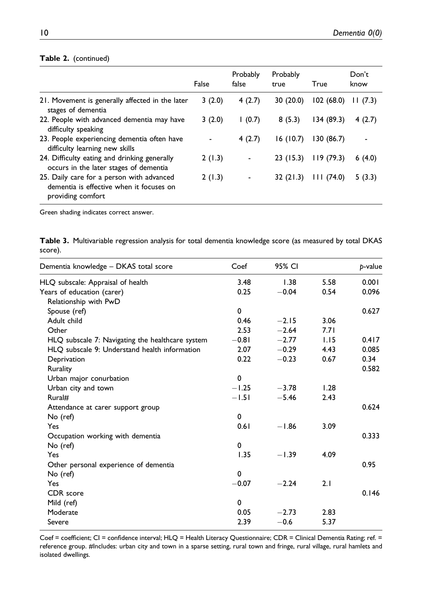#### Table 2. (continued)

|                                                                                                            | False  | Probably<br>false | Probably<br>true | True      | Don't<br>know |
|------------------------------------------------------------------------------------------------------------|--------|-------------------|------------------|-----------|---------------|
| 21. Movement is generally affected in the later<br>stages of dementia                                      | 3(2.0) | 4(2.7)            | 30(20.0)         | 102(68.0) | 11(7.3)       |
| 22. People with advanced dementia may have<br>difficulty speaking                                          | 3(2.0) | (0.7)             | 8(5.3)           | 134(89.3) | 4(2.7)        |
| 23. People experiencing dementia often have<br>difficulty learning new skills                              |        | 4(2.7)            | 16(10.7)         | 130(86.7) |               |
| 24. Difficulty eating and drinking generally<br>occurs in the later stages of dementia                     | 2(1.3) |                   | 23(15.3)         | 119(79.3) | 6(4.0)        |
| 25. Daily care for a person with advanced<br>dementia is effective when it focuses on<br>providing comfort | 2(1.3) |                   | 32(21.3)         | 111(74.0) | 5(3.3)        |

Green shading indicates correct answer.

|         | Table 3. Multivariable regression analysis for total dementia knowledge score (as measured by total DKAS |  |  |  |  |
|---------|----------------------------------------------------------------------------------------------------------|--|--|--|--|
| score). |                                                                                                          |  |  |  |  |

| Dementia knowledge - DKAS total score            | Coef        | 95% CI  |      | p-value |
|--------------------------------------------------|-------------|---------|------|---------|
| HLQ subscale: Appraisal of health                | 3.48        | 1.38    | 5.58 | 0.001   |
| Years of education (carer)                       | 0.25        | $-0.04$ | 0.54 | 0.096   |
| Relationship with PwD                            |             |         |      |         |
| Spouse (ref)                                     | $\mathbf 0$ |         |      | 0.627   |
| Adult child                                      | 0.46        | $-2.15$ | 3.06 |         |
| Other                                            | 2.53        | $-2.64$ | 7.71 |         |
| HLQ subscale 7: Navigating the healthcare system | $-0.81$     | $-2.77$ | 1.15 | 0.417   |
| HLO subscale 9: Understand health information    | 2.07        | $-0.29$ | 4.43 | 0.085   |
| Deprivation                                      | 0.22        | $-0.23$ | 0.67 | 0.34    |
| Rurality                                         |             |         |      | 0.582   |
| Urban major conurbation                          | $\Omega$    |         |      |         |
| Urban city and town                              | $-1.25$     | $-3.78$ | 1.28 |         |
| Rural#                                           | $-1.51$     | $-5.46$ | 2.43 |         |
| Attendance at carer support group                |             |         |      | 0.624   |
| No (ref)                                         | 0           |         |      |         |
| Yes                                              | 0.61        | $-1.86$ | 3.09 |         |
| Occupation working with dementia                 |             |         |      | 0.333   |
| No (ref)                                         | $\mathbf 0$ |         |      |         |
| Yes                                              | 1.35        | $-1.39$ | 4.09 |         |
| Other personal experience of dementia            |             |         |      | 0.95    |
| No (ref)                                         | $\mathbf 0$ |         |      |         |
| Yes                                              | $-0.07$     | $-2.24$ | 2.1  |         |
| CDR score                                        |             |         |      | 0.146   |
| Mild (ref)                                       | $\mathbf 0$ |         |      |         |
| Moderate                                         | 0.05        | $-2.73$ | 2.83 |         |
| Severe                                           | 2.39        | $-0.6$  | 5.37 |         |
|                                                  |             |         |      |         |

<span id="page-9-0"></span>Coef = coefficient; CI = confidence interval; HLQ = Health Literacy Questionnaire; CDR = Clinical Dementia Rating; ref. = reference group. #Includes: urban city and town in a sparse setting, rural town and fringe, rural village, rural hamlets and isolated dwellings.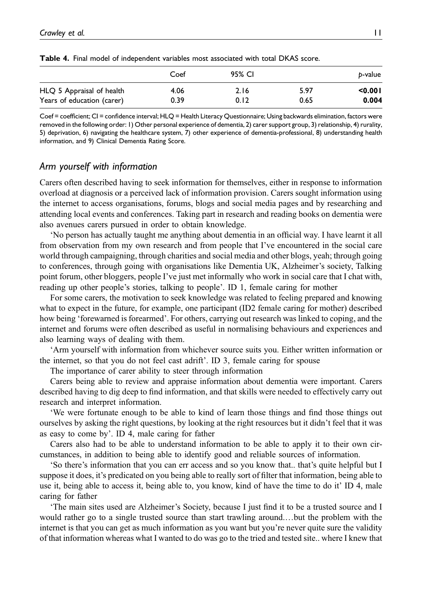|                            | Coef | 95% CI |      | b-value |
|----------------------------|------|--------|------|---------|
| HLQ 5 Appraisal of health  | 4.06 | 2.16   | 5.97 | < 0.001 |
| Years of education (carer) | 0.39 | 0.12   | 0.65 | 0.004   |

Table 4. Final model of independent variables most associated with total DKAS score.

<span id="page-10-0"></span>Coef = coefficient; CI = confidence interval; HLQ = Health Literacy Questionnaire; Using backwards elimination, factors were removed in the following order: 1) Other personal experience of dementia, 2) carer support group, 3) relationship, 4) rurality, 5) deprivation, 6) navigating the healthcare system, 7) other experience of dementia-professional, 8) understanding health information, and 9) Clinical Dementia Rating Score.

## Arm yourself with information

Carers often described having to seek information for themselves, either in response to information overload at diagnosis or a perceived lack of information provision. Carers sought information using the internet to access organisations, forums, blogs and social media pages and by researching and attending local events and conferences. Taking part in research and reading books on dementia were also avenues carers pursued in order to obtain knowledge.

'No person has actually taught me anything about dementia in an official way. I have learnt it all from observation from my own research and from people that I've encountered in the social care world through campaigning, through charities and social media and other blogs, yeah; through going to conferences, through going with organisations like Dementia UK, Alzheimer's society, Talking point forum, other bloggers, people I've just met informally who work in social care that I chat with, reading up other people's stories, talking to people'. ID 1, female caring for mother

For some carers, the motivation to seek knowledge was related to feeling prepared and knowing what to expect in the future, for example, one participant (ID2 female caring for mother) described how being 'forewarned is forearmed'. For others, carrying out research was linked to coping, and the internet and forums were often described as useful in normalising behaviours and experiences and also learning ways of dealing with them.

'Arm yourself with information from whichever source suits you. Either written information or the internet, so that you do not feel cast adrift'. ID 3, female caring for spouse

The importance of carer ability to steer through information

Carers being able to review and appraise information about dementia were important. Carers described having to dig deep to find information, and that skills were needed to effectively carry out research and interpret information.

'We were fortunate enough to be able to kind of learn those things and find those things out ourselves by asking the right questions, by looking at the right resources but it didn't feel that it was as easy to come by'. ID 4, male caring for father

Carers also had to be able to understand information to be able to apply it to their own circumstances, in addition to being able to identify good and reliable sources of information.

'So there's information that you can err access and so you know that.. that's quite helpful but I suppose it does, it's predicated on you being able to really sort of filter that information, being able to use it, being able to access it, being able to, you know, kind of have the time to do it' ID 4, male caring for father

'The main sites used are Alzheimer's Society, because I just find it to be a trusted source and I would rather go to a single trusted source than start trawling around.…but the problem with the internet is that you can get as much information as you want but you're never quite sure the validity of that information whereas what I wanted to do was go to the tried and tested site.. where I knew that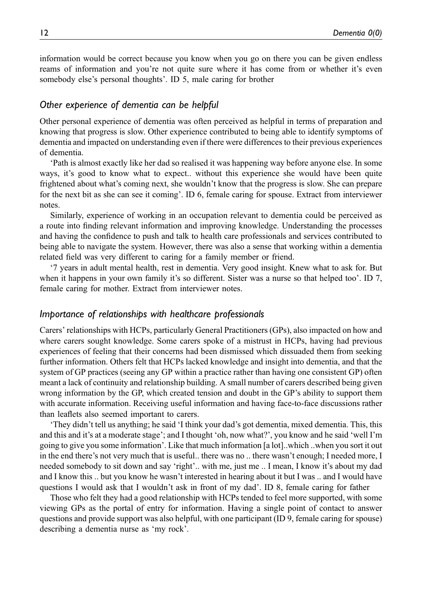information would be correct because you know when you go on there you can be given endless reams of information and you're not quite sure where it has come from or whether it's even somebody else's personal thoughts'. ID 5, male caring for brother

### Other experience of dementia can be helpful

Other personal experience of dementia was often perceived as helpful in terms of preparation and knowing that progress is slow. Other experience contributed to being able to identify symptoms of dementia and impacted on understanding even if there were differences to their previous experiences of dementia.

'Path is almost exactly like her dad so realised it was happening way before anyone else. In some ways, it's good to know what to expect.. without this experience she would have been quite frightened about what's coming next, she wouldn't know that the progress is slow. She can prepare for the next bit as she can see it coming'. ID 6, female caring for spouse. Extract from interviewer notes.

Similarly, experience of working in an occupation relevant to dementia could be perceived as a route into finding relevant information and improving knowledge. Understanding the processes and having the confidence to push and talk to health care professionals and services contributed to being able to navigate the system. However, there was also a sense that working within a dementia related field was very different to caring for a family member or friend.

'7 years in adult mental health, rest in dementia. Very good insight. Knew what to ask for. But when it happens in your own family it's so different. Sister was a nurse so that helped too'. ID 7, female caring for mother. Extract from interviewer notes.

#### Importance of relationships with healthcare professionals

Carers' relationships with HCPs, particularly General Practitioners (GPs), also impacted on how and where carers sought knowledge. Some carers spoke of a mistrust in HCPs, having had previous experiences of feeling that their concerns had been dismissed which dissuaded them from seeking further information. Others felt that HCPs lacked knowledge and insight into dementia, and that the system of GP practices (seeing any GP within a practice rather than having one consistent GP) often meant a lack of continuity and relationship building. A small number of carers described being given wrong information by the GP, which created tension and doubt in the GP's ability to support them with accurate information. Receiving useful information and having face-to-face discussions rather than leaflets also seemed important to carers.

'They didn't tell us anything; he said 'I think your dad's got dementia, mixed dementia. This, this and this and it's at a moderate stage'; and I thought 'oh, now what?', you know and he said 'well I'm going to give you some information'. Like that much information [a lot]..which ..when you sort it out in the end there's not very much that is useful.. there was no .. there wasn't enough; I needed more, I needed somebody to sit down and say 'right'.. with me, just me .. I mean, I know it's about my dad and I know this .. but you know he wasn't interested in hearing about it but I was .. and I would have questions I would ask that I wouldn't ask in front of my dad'. ID 8, female caring for father

Those who felt they had a good relationship with HCPs tended to feel more supported, with some viewing GPs as the portal of entry for information. Having a single point of contact to answer questions and provide support was also helpful, with one participant (ID 9, female caring for spouse) describing a dementia nurse as 'my rock'.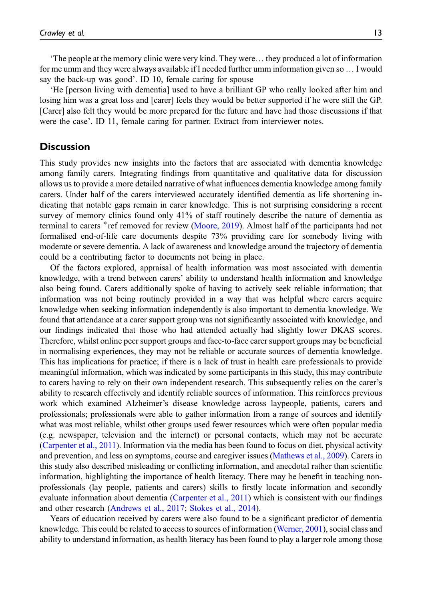'The people at the memory clinic were very kind. They were… they produced a lot of information for me umm and they were always available if I needed further umm information given so … I would say the back-up was good'. ID 10, female caring for spouse

'He [person living with dementia] used to have a brilliant GP who really looked after him and losing him was a great loss and [carer] feels they would be better supported if he were still the GP. [Carer] also felt they would be more prepared for the future and have had those discussions if that were the case'. ID 11, female caring for partner. Extract from interviewer notes.

### **Discussion**

This study provides new insights into the factors that are associated with dementia knowledge among family carers. Integrating findings from quantitative and qualitative data for discussion allows us to provide a more detailed narrative of what influences dementia knowledge among family carers. Under half of the carers interviewed accurately identified dementia as life shortening indicating that notable gaps remain in carer knowledge. This is not surprising considering a recent survey of memory clinics found only 41% of staff routinely describe the nature of dementia as terminal to carers \*ref removed for review [\(Moore, 2019](#page-16-5)). Almost half of the participants had not formalised end-of-life care documents despite 73% providing care for somebody living with moderate or severe dementia. A lack of awareness and knowledge around the trajectory of dementia could be a contributing factor to documents not being in place.

Of the factors explored, appraisal of health information was most associated with dementia knowledge, with a trend between carers' ability to understand health information and knowledge also being found. Carers additionally spoke of having to actively seek reliable information; that information was not being routinely provided in a way that was helpful where carers acquire knowledge when seeking information independently is also important to dementia knowledge. We found that attendance at a carer support group was not significantly associated with knowledge, and our findings indicated that those who had attended actually had slightly lower DKAS scores. Therefore, whilst online peer support groups and face-to-face carer support groups may be beneficial in normalising experiences, they may not be reliable or accurate sources of dementia knowledge. This has implications for practice; if there is a lack of trust in health care professionals to provide meaningful information, which was indicated by some participants in this study, this may contribute to carers having to rely on their own independent research. This subsequently relies on the carer's ability to research effectively and identify reliable sources of information. This reinforces previous work which examined Alzheimer's disease knowledge across laypeople, patients, carers and professionals; professionals were able to gather information from a range of sources and identify what was most reliable, whilst other groups used fewer resources which were often popular media (e.g. newspaper, television and the internet) or personal contacts, which may not be accurate ([Carpenter et al., 2011\)](#page-16-7). Information via the media has been found to focus on diet, physical activity and prevention, and less on symptoms, course and caregiver issues ([Mathews et al., 2009](#page-16-12)). Carers in this study also described misleading or conflicting information, and anecdotal rather than scientific information, highlighting the importance of health literacy. There may be benefit in teaching nonprofessionals (lay people, patients and carers) skills to firstly locate information and secondly evaluate information about dementia [\(Carpenter et al., 2011](#page-16-7)) which is consistent with our findings and other research ([Andrews et al., 2017;](#page-16-6) [Stokes et al., 2014](#page-17-12)).

Years of education received by carers were also found to be a significant predictor of dementia knowledge. This could be related to access to sources of information ([Werner, 2001\)](#page-17-9), social class and ability to understand information, as health literacy has been found to play a larger role among those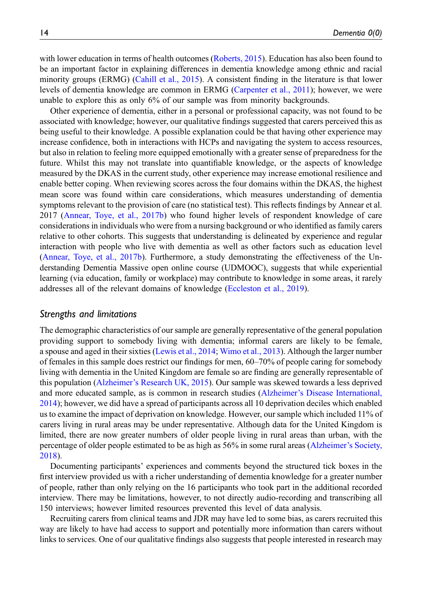with lower education in terms of health outcomes ([Roberts, 2015](#page-17-5)). Education has also been found to be an important factor in explaining differences in dementia knowledge among ethnic and racial minority groups (ERMG) ([Cahill et al., 2015\)](#page-16-2). A consistent finding in the literature is that lower levels of dementia knowledge are common in ERMG [\(Carpenter et al., 2011](#page-16-7)); however, we were unable to explore this as only 6% of our sample was from minority backgrounds.

Other experience of dementia, either in a personal or professional capacity, was not found to be associated with knowledge; however, our qualitative findings suggested that carers perceived this as being useful to their knowledge. A possible explanation could be that having other experience may increase confidence, both in interactions with HCPs and navigating the system to access resources, but also in relation to feeling more equipped emotionally with a greater sense of preparedness for the future. Whilst this may not translate into quantifiable knowledge, or the aspects of knowledge measured by the DKAS in the current study, other experience may increase emotional resilience and enable better coping. When reviewing scores across the four domains within the DKAS, the highest mean score was found within care considerations, which measures understanding of dementia symptoms relevant to the provision of care (no statistical test). This reflects findings by Annear et al. 2017 ([Annear, Toye, et al., 2017b](#page-16-9)) who found higher levels of respondent knowledge of care considerations in individuals who were from a nursing background or who identified as family carers relative to other cohorts. This suggests that understanding is delineated by experience and regular interaction with people who live with dementia as well as other factors such as education level ([Annear, Toye, et al., 2017b](#page-16-9)). Furthermore, a study demonstrating the effectiveness of the Understanding Dementia Massive open online course (UDMOOC), suggests that while experiential learning (via education, family or workplace) may contribute to knowledge in some areas, it rarely addresses all of the relevant domains of knowledge [\(Eccleston et al., 2019\)](#page-16-13).

#### Strengths and limitations

The demographic characteristics of our sample are generally representative of the general population providing support to somebody living with dementia; informal carers are likely to be female, a spouse and aged in their sixties [\(Lewis et al., 2014](#page-16-14); [Wimo et al., 2013](#page-17-13)). Although the larger number of females in this sample does restrict our findings for men, 60–70% of people caring for somebody living with dementia in the United Kingdom are female so are finding are generally representable of this population (Alzheimer'[s Research UK, 2015](#page-15-0)). Our sample was skewed towards a less deprived and more educated sample, as is common in research studies (Alzheimer'[s Disease International,](#page-15-1) [2014](#page-15-1)); however, we did have a spread of participants across all 10 deprivation deciles which enabled us to examine the impact of deprivation on knowledge. However, our sample which included 11% of carers living in rural areas may be under representative. Although data for the United Kingdom is limited, there are now greater numbers of older people living in rural areas than urban, with the percentage of older people estimated to be as high as 56% in some rural areas [\(Alzheimer](#page-16-15)'s Society, [2018](#page-16-15)).

Documenting participants' experiences and comments beyond the structured tick boxes in the first interview provided us with a richer understanding of dementia knowledge for a greater number of people, rather than only relying on the 16 participants who took part in the additional recorded interview. There may be limitations, however, to not directly audio-recording and transcribing all 150 interviews; however limited resources prevented this level of data analysis.

Recruiting carers from clinical teams and JDR may have led to some bias, as carers recruited this way are likely to have had access to support and potentially more information than carers without links to services. One of our qualitative findings also suggests that people interested in research may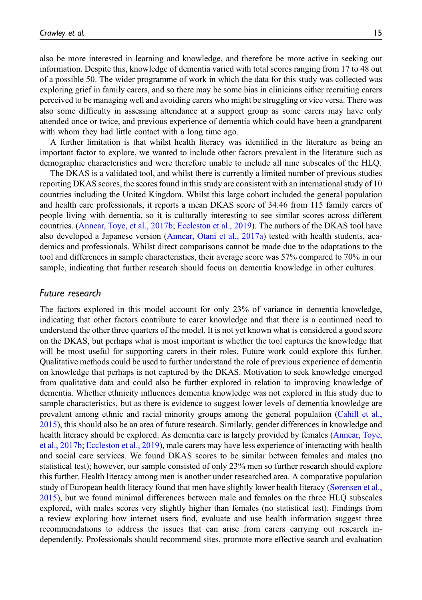also be more interested in learning and knowledge, and therefore be more active in seeking out information. Despite this, knowledge of dementia varied with total scores ranging from 17 to 48 out of a possible 50. The wider programme of work in which the data for this study was collected was exploring grief in family carers, and so there may be some bias in clinicians either recruiting carers perceived to be managing well and avoiding carers who might be struggling or vice versa. There was also some difficulty in assessing attendance at a support group as some carers may have only attended once or twice, and previous experience of dementia which could have been a grandparent with whom they had little contact with a long time ago.

A further limitation is that whilst health literacy was identified in the literature as being an important factor to explore, we wanted to include other factors prevalent in the literature such as demographic characteristics and were therefore unable to include all nine subscales of the HLQ.

The DKAS is a validated tool, and whilst there is currently a limited number of previous studies reporting DKAS scores, the scores found in this study are consistent with an international study of 10 countries including the United Kingdom. Whilst this large cohort included the general population and health care professionals, it reports a mean DKAS score of 34.46 from 115 family carers of people living with dementia, so it is culturally interesting to see similar scores across different countries. ([Annear, Toye, et al., 2017b](#page-16-9); [Eccleston et al., 2019](#page-16-13)). The authors of the DKAS tool have also developed a Japanese version ([Annear, Otani et al., 2017a\)](#page-16-16) tested with health students, academics and professionals. Whilst direct comparisons cannot be made due to the adaptations to the tool and differences in sample characteristics, their average score was 57% compared to 70% in our sample, indicating that further research should focus on dementia knowledge in other cultures.

#### Future research

The factors explored in this model account for only 23% of variance in dementia knowledge, indicating that other factors contribute to carer knowledge and that there is a continued need to understand the other three quarters of the model. It is not yet known what is considered a good score on the DKAS, but perhaps what is most important is whether the tool captures the knowledge that will be most useful for supporting carers in their roles. Future work could explore this further. Qualitative methods could be used to further understand the role of previous experience of dementia on knowledge that perhaps is not captured by the DKAS. Motivation to seek knowledge emerged from qualitative data and could also be further explored in relation to improving knowledge of dementia. Whether ethnicity influences dementia knowledge was not explored in this study due to sample characteristics, but as there is evidence to suggest lower levels of dementia knowledge are prevalent among ethnic and racial minority groups among the general population ([Cahill et al.,](#page-16-2) [2015](#page-16-2)), this should also be an area of future research. Similarly, gender differences in knowledge and health literacy should be explored. As dementia care is largely provided by females ([Annear, Toye,](#page-16-9) [et al., 2017b;](#page-16-9) [Eccleston et al., 2019](#page-16-13)), male carers may have less experience of interacting with health and social care services. We found DKAS scores to be similar between females and males (no statistical test); however, our sample consisted of only 23% men so further research should explore this further. Health literacy among men is another under researched area. A comparative population study of European health literacy found that men have slightly lower health literacy ([Sørensen et al.,](#page-17-14) [2015](#page-17-14)), but we found minimal differences between male and females on the three HLQ subscales explored, with males scores very slightly higher than females (no statistical test). Findings from a review exploring how internet users find, evaluate and use health information suggest three recommendations to address the issues that can arise from carers carrying out research independently. Professionals should recommend sites, promote more effective search and evaluation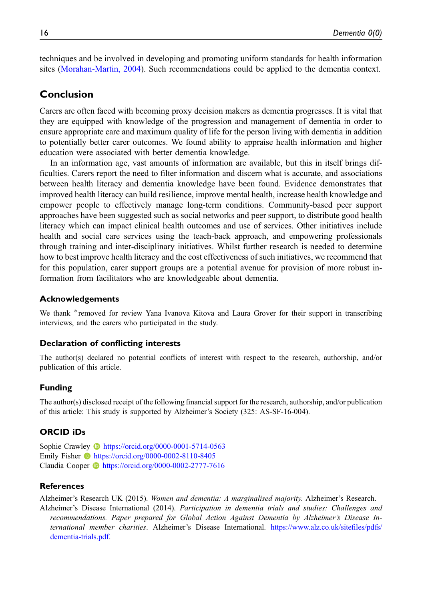techniques and be involved in developing and promoting uniform standards for health information sites [\(Morahan-Martin, 2004\)](#page-16-17). Such recommendations could be applied to the dementia context.

## Conclusion

Carers are often faced with becoming proxy decision makers as dementia progresses. It is vital that they are equipped with knowledge of the progression and management of dementia in order to ensure appropriate care and maximum quality of life for the person living with dementia in addition to potentially better carer outcomes. We found ability to appraise health information and higher education were associated with better dementia knowledge.

In an information age, vast amounts of information are available, but this in itself brings difficulties. Carers report the need to filter information and discern what is accurate, and associations between health literacy and dementia knowledge have been found. Evidence demonstrates that improved health literacy can build resilience, improve mental health, increase health knowledge and empower people to effectively manage long-term conditions. Community-based peer support approaches have been suggested such as social networks and peer support, to distribute good health literacy which can impact clinical health outcomes and use of services. Other initiatives include health and social care services using the teach-back approach, and empowering professionals through training and inter-disciplinary initiatives. Whilst further research is needed to determine how to best improve health literacy and the cost effectiveness of such initiatives, we recommend that for this population, carer support groups are a potential avenue for provision of more robust information from facilitators who are knowledgeable about dementia.

### Acknowledgements

We thank \*removed for review Yana Ivanova Kitova and Laura Grover for their support in transcribing interviews, and the carers who participated in the study.

#### Declaration of conflicting interests

The author(s) declared no potential conflicts of interest with respect to the research, authorship, and/or publication of this article.

#### Funding

The author(s) disclosed receipt of the following financial support for the research, authorship, and/or publication of this article: This study is supported by Alzheimer's Society (325: AS-SF-16-004).

#### ORCID iDs

Sophie Crawley **b** <https://orcid.org/0000-0001-5714-0563> Emily Fisher **b** <https://orcid.org/0000-0002-8110-8405> Claudia Cooper <https://orcid.org/0000-0002-2777-7616>

#### References

<span id="page-15-1"></span><span id="page-15-0"></span>Alzheimer's Research UK (2015). Women and dementia: A marginalised majority. Alzheimer's Research. Alzheimer's Disease International (2014). Participation in dementia trials and studies: Challenges and recommendations. Paper prepared for Global Action Against Dementia by Alzheimer's Disease International member charities. Alzheimer's Disease International. [https://www.alz.co.uk/site](https://www.alz.co.uk/sitefiles/pdfs/dementia-trials.pdf)files/pdfs/ [dementia-trials.pdf](https://www.alz.co.uk/sitefiles/pdfs/dementia-trials.pdf).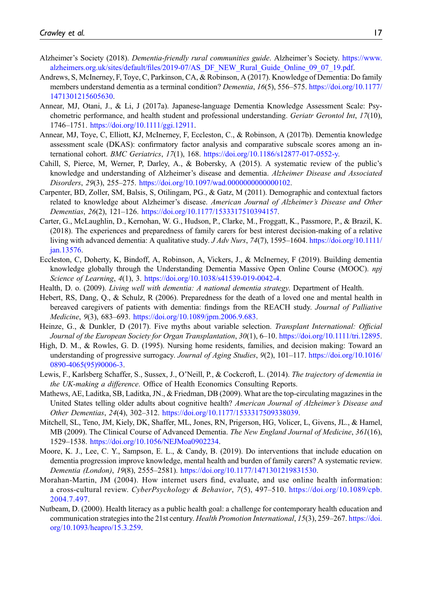- <span id="page-16-15"></span>Alzheimer's Society (2018). Dementia-friendly rural communities guide. Alzheimer's Society. [https://www.](https://www.alzheimers.org.uk/sites/default/files/2019-07/AS_DF_NEW_Rural_Guide_Online_09_07_19.pdf) alzheimers.org.uk/sites/default/fi[les/2019-07/AS\\_DF\\_NEW\\_Rural\\_Guide\\_Online\\_09\\_07\\_19.pdf](https://www.alzheimers.org.uk/sites/default/files/2019-07/AS_DF_NEW_Rural_Guide_Online_09_07_19.pdf).
- <span id="page-16-6"></span>Andrews, S, McInerney, F, Toye, C, Parkinson, CA, & Robinson, A (2017). Knowledge of Dementia: Do family members understand dementia as a terminal condition? Dementia, 16(5), 556–575. [https://doi.org/10.1177/](https://doi.org/10.1177/1471301215605630) [1471301215605630](https://doi.org/10.1177/1471301215605630).
- <span id="page-16-16"></span>Annear, MJ, Otani, J., & Li, J (2017a). Japanese-language Dementia Knowledge Assessment Scale: Psychometric performance, and health student and professional understanding. Geriatr Gerontol Int, 17(10), 1746–1751. [https://doi.org/10.1111/ggi.12911.](https://doi.org/10.1111/ggi.12911)
- <span id="page-16-9"></span>Annear, MJ, Toye, C, Elliott, KJ, McInerney, F, Eccleston, C., & Robinson, A (2017b). Dementia knowledge assessment scale (DKAS): confirmatory factor analysis and comparative subscale scores among an international cohort. BMC Geriatrics, 17(1), 168. [https://doi.org/10.1186/s12877-017-0552-y.](https://doi.org/10.1186/s12877-017-0552-y)
- <span id="page-16-2"></span>Cahill, S, Pierce, M, Werner, P, Darley, A., & Bobersky, A (2015). A systematic review of the public's knowledge and understanding of Alzheimer's disease and dementia. Alzheimer Disease and Associated Disorders, 29(3), 255–275. [https://doi.org/10.1097/wad.0000000000000102.](https://doi.org/10.1097/wad.0000000000000102)
- <span id="page-16-7"></span>Carpenter, BD, Zoller, SM, Balsis, S, Otilingam, PG., & Gatz, M (2011). Demographic and contextual factors related to knowledge about Alzheimer's disease. American Journal of Alzheimer's Disease and Other Dementias, 26(2), 121–126. <https://doi.org/10.1177/1533317510394157>.
- <span id="page-16-8"></span>Carter, G., McLaughlin, D., Kernohan, W. G., Hudson, P., Clarke, M., Froggatt, K., Passmore, P., & Brazil, K. (2018). The experiences and preparedness of family carers for best interest decision-making of a relative living with advanced dementia: A qualitative study. J Adv Nurs, 74(7), 1595–1604. [https://doi.org/10.1111/](https://doi.org/10.1111/jan.13576) [jan.13576.](https://doi.org/10.1111/jan.13576)
- <span id="page-16-13"></span>Eccleston, C, Doherty, K, Bindoff, A, Robinson, A, Vickers, J., & McInerney, F (2019). Building dementia knowledge globally through the Understanding Dementia Massive Open Online Course (MOOC). npj Science of Learning, 4(1), 3. <https://doi.org/10.1038/s41539-019-0042-4>.
- <span id="page-16-0"></span>Health, D. o. (2009). Living well with dementia: A national dementia strategy. Department of Health.
- <span id="page-16-4"></span>Hebert, RS, Dang, Q., & Schulz, R (2006). Preparedness for the death of a loved one and mental health in bereaved caregivers of patients with dementia: findings from the REACH study. Journal of Palliative Medicine, 9(3), 683–693. <https://doi.org/10.1089/jpm.2006.9.683>.
- <span id="page-16-11"></span>Heinze, G., & Dunkler, D (2017). Five myths about variable selection. Transplant International: Official Journal of the European Society for Organ Transplantation, 30(1), 6–10. <https://doi.org/10.1111/tri.12895>.
- <span id="page-16-1"></span>High, D. M., & Rowles, G. D. (1995). Nursing home residents, families, and decision making: Toward an understanding of progressive surrogacy. Journal of Aging Studies, 9(2), 101-117. [https://doi.org/10.1016/](https://doi.org/10.1016/0890-4065(95)90006-3) [0890-4065\(95\)90006-3.](https://doi.org/10.1016/0890-4065(95)90006-3)
- <span id="page-16-14"></span>Lewis, F., Karlsberg Schaffer, S., Sussex, J., O'Neill, P., & Cockcroft, L. (2014). The trajectory of dementia in the UK-making a difference. Office of Health Economics Consulting Reports.
- <span id="page-16-12"></span>Mathews, AE, Laditka, SB, Laditka, JN., & Friedman, DB (2009). What are the top-circulating magazines in the United States telling older adults about cognitive health? American Journal of Alzheimer's Disease and Other Dementias, 24(4), 302–312. [https://doi.org/10.1177/1533317509338039.](https://doi.org/10.1177/1533317509338039)
- <span id="page-16-3"></span>Mitchell, SL, Teno, JM, Kiely, DK, Shaffer, ML, Jones, RN, Prigerson, HG, Volicer, L, Givens, JL., & Hamel, MB (2009). The Clinical Course of Advanced Dementia. The New England Journal of Medicine, 361(16), 1529–1538. [https://doi.org/10.1056/NEJMoa0902234.](https://doi.org/10.1056/NEJMoa0902234)
- <span id="page-16-5"></span>Moore, K. J., Lee, C. Y., Sampson, E. L., & Candy, B. (2019). Do interventions that include education on dementia progression improve knowledge, mental health and burden of family carers? A systematic review. Dementia (London), 19(8), 2555–2581). [https://doi.org/10.1177/1471301219831530.](https://doi.org/10.1177/1471301219831530)
- <span id="page-16-17"></span>Morahan-Martin, JM (2004). How internet users find, evaluate, and use online health information: a cross-cultural review. CyberPsychology & Behavior, 7(5), 497–510. [https://doi.org/10.1089/cpb.](https://doi.org/10.1089/cpb.2004.7.497) [2004.7.497](https://doi.org/10.1089/cpb.2004.7.497).
- <span id="page-16-10"></span>Nutbeam, D. (2000). Health literacy as a public health goal: a challenge for contemporary health education and communication strategies into the 21st century. Health Promotion International, 15(3), 259–267. [https://doi.](https://doi.org/10.1093/heapro/15.3.259) [org/10.1093/heapro/15.3.259](https://doi.org/10.1093/heapro/15.3.259).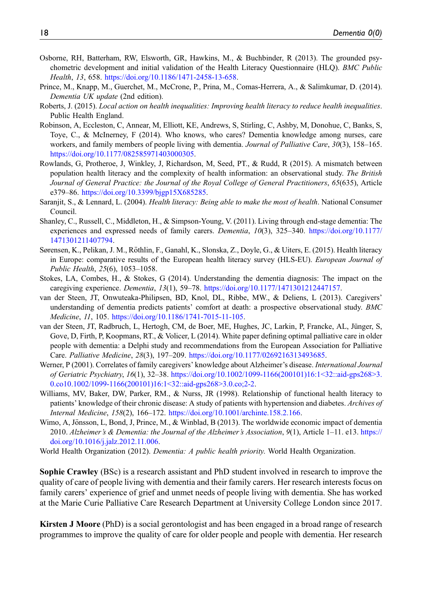- <span id="page-17-4"></span>Osborne, RH, Batterham, RW, Elsworth, GR, Hawkins, M., & Buchbinder, R (2013). The grounded psychometric development and initial validation of the Health Literacy Questionnaire (HLQ). BMC Public Health, 13, 658. <https://doi.org/10.1186/1471-2458-13-658>.
- <span id="page-17-0"></span>Prince, M., Knapp, M., Guerchet, M., McCrone, P., Prina, M., Comas-Herrera, A., & Salimkumar, D. (2014). Dementia UK update (2nd edition).
- <span id="page-17-5"></span>Roberts, J. (2015). Local action on health inequalities: Improving health literacy to reduce health inequalities. Public Health England.
- <span id="page-17-2"></span>Robinson, A, Eccleston, C, Annear, M, Elliott, KE, Andrews, S, Stirling, C, Ashby, M, Donohue, C, Banks, S, Toye, C., & McInerney, F (2014). Who knows, who cares? Dementia knowledge among nurses, care workers, and family members of people living with dementia. Journal of Palliative Care, 30(3), 158–165. [https://doi.org/10.1177/082585971403000305.](https://doi.org/10.1177/082585971403000305)
- <span id="page-17-7"></span>Rowlands, G, Protheroe, J, Winkley, J, Richardson, M, Seed, PT., & Rudd, R (2015). A mismatch between population health literacy and the complexity of health information: an observational study. The British Journal of General Practice: the Journal of the Royal College of General Practitioners, 65(635), Article e379–86. [https://doi.org/10.3399/bjgp15X685285.](https://doi.org/10.3399/bjgp15X685285)
- <span id="page-17-8"></span>Saranjit, S., & Lennard, L. (2004). Health literacy: Being able to make the most of health. National Consumer Council.
- <span id="page-17-10"></span>Shanley, C., Russell, C., Middleton, H., & Simpson-Young, V. (2011). Living through end-stage dementia: The experiences and expressed needs of family carers. Dementia, 10(3), 325–340. [https://doi.org/10.1177/](https://doi.org/10.1177/1471301211407794) [1471301211407794.](https://doi.org/10.1177/1471301211407794)
- <span id="page-17-14"></span>Sørensen, K., Pelikan, J. M., Röthlin, F., Ganahl, K., Slonska, Z., Doyle, G., & Uiters, E. (2015). Health literacy in Europe: comparative results of the European health literacy survey (HLS-EU). *European Journal of* Public Health, 25(6), 1053–1058.
- <span id="page-17-12"></span>Stokes, LA, Combes, H., & Stokes, G (2014). Understanding the dementia diagnosis: The impact on the caregiving experience. Dementia, 13(1), 59–78. [https://doi.org/10.1177/1471301212447157.](https://doi.org/10.1177/1471301212447157)
- <span id="page-17-3"></span>van der Steen, JT, Onwuteaka-Philipsen, BD, Knol, DL, Ribbe, MW., & Deliens, L (2013). Caregivers' understanding of dementia predicts patients' comfort at death: a prospective observational study. BMC Medicine, 11, 105. <https://doi.org/10.1186/1741-7015-11-105>.
- <span id="page-17-11"></span>van der Steen, JT, Radbruch, L, Hertogh, CM, de Boer, ME, Hughes, JC, Larkin, P, Francke, AL, Jünger, S, Gove, D, Firth, P, Koopmans, RT., & Volicer, L (2014). White paper defining optimal palliative care in older people with dementia: a Delphi study and recommendations from the European Association for Palliative Care. Palliative Medicine, 28(3), 197–209. <https://doi.org/10.1177/0269216313493685>.
- <span id="page-17-9"></span>Werner, P (2001). Correlates of family caregivers' knowledge about Alzheimer's disease. *International Journal* of Geriatric Psychiatry, 16(1), 32–38. [https://doi.org/10.1002/1099-1166\(200101\)16:1<32::aid-gps268>3.](https://doi.org/10.1002/1099-1166(200101)16:1<32::aid-gps268>3.0.co10.1002/1099-1166(200101)16:1<32::aid-gps268>3.0.co;2-2) [0.co10.1002/1099-1166\(200101\)16:1<32::aid-gps268>3.0.co;2-2.](https://doi.org/10.1002/1099-1166(200101)16:1<32::aid-gps268>3.0.co10.1002/1099-1166(200101)16:1<32::aid-gps268>3.0.co;2-2)
- <span id="page-17-6"></span>Williams, MV, Baker, DW, Parker, RM., & Nurss, JR (1998). Relationship of functional health literacy to patients' knowledge of their chronic disease: A study of patients with hypertension and diabetes. Archives of Internal Medicine, 158(2), 166–172. <https://doi.org/10.1001/archinte.158.2.166>.
- <span id="page-17-13"></span>Wimo, A, Jönsson, L, Bond, J, Prince, M., & Winblad, B (2013). The worldwide economic impact of dementia 2010. Alzheimer's & Dementia: the Journal of the Alzheimer's Association, 9(1), Article 1–11. e13. [https://](https://doi.org/10.1016/j.jalz.2012.11.006) [doi.org/10.1016/j.jalz.2012.11.006.](https://doi.org/10.1016/j.jalz.2012.11.006)

<span id="page-17-1"></span>World Health Organization (2012). Dementia: A public health priority. World Health Organization.

Sophie Crawley (BSc) is a research assistant and PhD student involved in research to improve the quality of care of people living with dementia and their family carers. Her research interests focus on family carers' experience of grief and unmet needs of people living with dementia. She has worked at the Marie Curie Palliative Care Research Department at University College London since 2017.

Kirsten J Moore (PhD) is a social gerontologist and has been engaged in a broad range of research programmes to improve the quality of care for older people and people with dementia. Her research